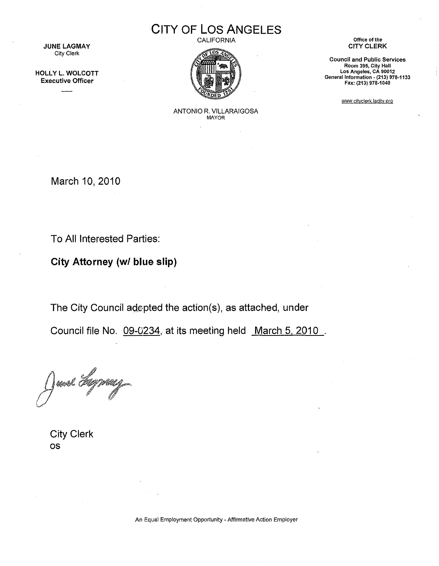**CITY OF LOS ANGELES**

CALIFORNIA



**Office of the** CITY CLERK

**Council and Public Services Room 395, City Hall Los Angeles, CA 90012** General Information ~**(213)** 978~1133 **Fax: (213) 978·1040**

www.cityclerk.lacity.org

ANTONIO R. VILLARAIGOSA MAYOR

March 10, 2010

**JUNE LAGMAY** City Clerk

HOllY l. WOLCOTT Executive Officer

To All Interested Parties:

**City Attorney** *(wI* **blue slip)**

The City Council adepted the action(s), as attached, under

Council file No. 09-0234, at its meeting held March 5, 2010.

Janel Fr

City Clerk os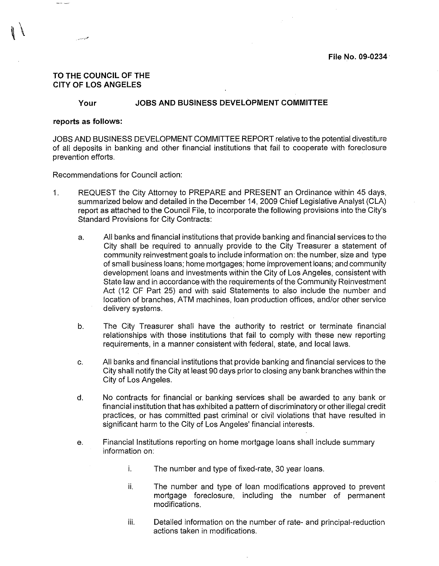## TO THE COUNCIL OF THE CITY OF LOS ANGELES

## Your JOBS AND BUSINESS DEVELOPMENT COMMITTEE

#### reports as follows:

JOBS AND BUSINESS DEVELOPMENT COMMITTEE REPORT relative to the potential divestiture of all deposits in banking and other financial institutions that fail to cooperate with foreclosure prevention efforts.

Recommendations for Council action:

- 1. REQUEST the City Attorney to PREPARE and PRESENT an Ordinance within 45 days, summarized below and detailed in the December 14, 2009 Chief Legislative Analyst (CLA) report as attached to the Council File, to incorporate the following provisions into the City's Standard Provisions for City Contracts:
	- a. All banks and financial institutions that provide banking and financial services to the City shall be required to annually provide to the City Treasurer a statement of community reinvestment goals to include information on: the number, size and type of small business loans; home mortgages; home improvement loans; and community development loans and investments within the City of los Angeles, consistent with State law and in accordance with the requirements of the Community Reinvestment Act (12 CF Part 25) and with said Statements to also include the number and location of branches, ATM machines, loan production offices, and/or other service delivery systems.
	- b. The City Treasurer shall have the authority to restrict or terminate financial relationships with those institutions that fail to comply with these new reporting requirements, in a manner consistent with federal, state, and local laws.
	- c. All banks and financial institutions that provide banking and financial services to the City shall notify the City at least 90 days prior to closing any bank branches within the City of Los Angeles.
	- d. No contracts for financial or banking services shall be awarded to any bank or financial institution that has exhibited a pattern of discriminatory or other illegal credit practices, or has committed past criminal or civil violations that have resulted in significant harm to the City of Los Angeles' financial interests.
	- e. Financial Institutions reporting on home mortgage loans shall include summary information on:
		- i. The number and type of fixed-rate, 30 year loans.
		- ii. The number and type of loan modifications approved to prevent mortgage foreclosure, including the number of permanent modifications.
		- iii. Detailed information on the number of rate- and principal-reduction actions taken in modifications.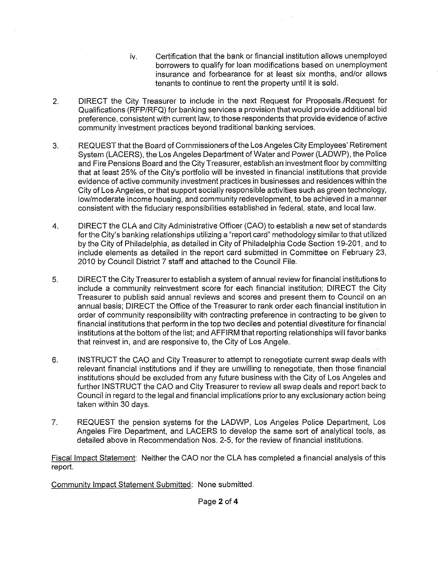- iv. Certification that the bank or financial institution allows unemployed borrowers to qualify for loan modifications based on unemployment insurance and forbearance for at least six months, and/or allows tenants to continue to rent the property until it is sold.
- 2. DIRECT the City Treasurer to include in the next Request for Proposals.lRequest for Qualifications (RFP/RFQ) for banking services a provision that would provide additional bid preference, consistent with current law, to those respondents that provide evidence of active community investment practices beyond traditional banking services.
- 3. REQUEST that the Board of Commissioners of the Los Angeles City Employees' Retirement System (LACERS), the Los Angeles Department of Water and Power (LADWP), the Police and Fire Pensions Board and the City Treasurer, establish an investment floor by committing that at least 25% of the City's portfolio will be invested in financial institutions that provide evidence of active community investment practices in businesses and residences within the City of Los Angeles, or that support socially responsible activities such as green technology, low/moderate income housing, and community redevelopment, to be achieved in a manner consistent with the fiduciary responsibilities established in federal, state, and local law.
- 4. DIRECT the CLA and City Administrative Officer (CAO) to establish a new set of standards for the City's banking relationships utilizing a "report card" methodology similar to that utilized by the City of Philadelphia, as detailed in City of Philadelphia Code Section 19-201, and to include elements as detailed in the report card submitted in Committee on February 23, 2010 by Council District 7 staff and attached to the Council File.
- 5. DIRECT the City Treasurer to establish a system of annual review for financial institutions to include a community reinvestment score for each financial institution; DIRECT the City Treasurer to publish said annual reviews and scores and present them to Council on an annual basis; DIRECT the Office of the Treasurer to rank order each financial institution in order of community responsibility with contracting preference in contracting to be given to financial institutions that perform in the top two deciles and potential divestiture for financial institutions at the bottom of the list; and AFFIRM that reporting relationships will favor banks that reinvest in, and are responsive to, the City of Los Angele.
- 6. INSTRUCT the CAO and City Treasurer to attempt to renegotiate current swap deals with relevant financial institutions and if they are unwilling to renegotiate, then those financial institutions should be excluded from any future business with the City of Los Angeles and further INSTRUCT the CAO and City Treasurer to review all swap deals and report back to Council in regard to the legal and financial implications prior to any exclusionary action being taken within 30 days.
- 7. REQUEST the pension systems for the LADWP, Los Angeles Police Department, Los Angeles Fire Department, and LACERS to develop the same sort of analytical tools, as detailed above in Recommendation Nos. 2-5, for the review of financial institutions.

Fiscal Impact Statement: Neither the CAO nor the CLA has completed a financial analysis of this report.

Community Impact Statement Submitted: None SUbmitted.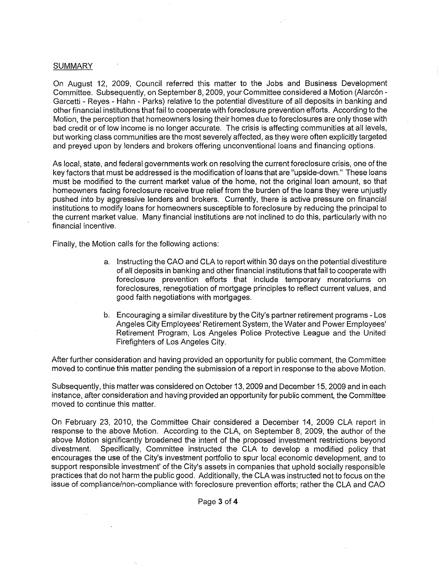## **SUMMARY**

On August 12, 2009, Council referred this matter to the Jobs and Business Development Committee. Subsequently, on September 8, 2009, your Committee considered a Motion (Alarc6n-Garcetti - Reyes - Hahn - Parks) relative to the potential divestiture of all deposits in banking and other financial institutions that fail to cooperate with foreclosure prevention efforts. According to the Motion, the perception that homeowners losing their homes due to foreclosures are only those with bad credit or of low income is no longer accurate. The crisis is affecting communities at all levels, but working class communities are the most severely affected, as they were often explicitly targeted and preyed upon by lenders and brokers offering unconventional loans and financing options.

As local, state, and federal govemments work on resolving the current foreclosure crisis, one of the key factors that must be addressed is the modification of loans that are "upside-down." These loans must be modified to the current market value of the home, not the original loan amount, so that homeowners facing foreclosure receive true relief from the burden of the loans they were unjustly pushed into by aggressive lenders and brokers. Currently, there is active pressure on financial institutions to modify loans for homeowners susceptible to foreclosure by reducing the principal to the current market value, Many financial institutions are not inclined to do this, particularly with no financial incentive.

Finally, the Motion calls for the following actions:

- a, Instructing the CAO and CLA to report within 30 days on the potential divestiture of all deposits in banking and other financial institutions that fail to cooperate with foreclosure prevention efforts that include temporary moratoriums on foreclosures, renegotiation of mortgage principles to reflect current values, and good faith negotiations with mortgages.
- b. Encouraging a similar divestiture by the City's partner retirement programs Los Angeles City Employees' Retirement System, the Water and Power Employees' Retirement Program, Los Angeles Police Protective League and the United Firefighters of Los Angeles City,

After further consideration and having provided an opportunity for public comment, the Committee moved to continue this matter pending the submission of a report in response to the above Motion.

Subsequently, this matter was considered on October 13, 2009 and December 15, 2009 and in each instance, after consideration and having provided an opportunity for public comment, the Committee moved to continue this matter.

On February 23, 2010, the Committee Chair considered a December 14, 2009 CLA report in response to the above Motion. According to the CLA, on September 8, 2009, the author of the above Motion significantly broadened the intent of the proposed investment restrictions beyond divestment. Specifically, Committee instructed the CLA to develop a modified policy that encourages the use of the City's investment portfolio to spur local economic development, and to support responsible investment' of the City's assets in companies that uphold socially responsible practices that do not harm the public good, Additionally, the CLA was instructed not to focus on the issue of compliance/non-compliance with foreclosure prevention efforts; rather the CLA and CAO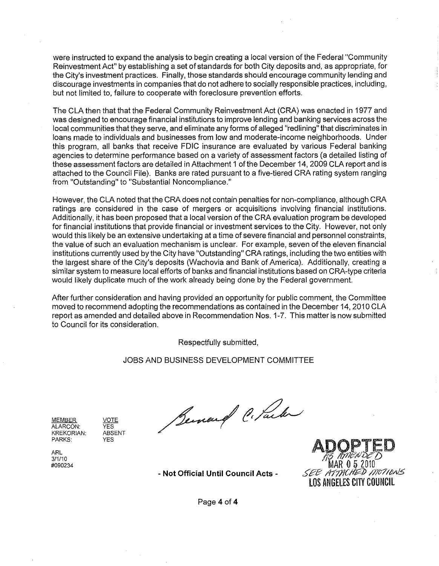were instructed to expand the analysis to begin creating a local version of the Federal "Community Reinvestment Act" by establishing a set of standards for both City deposits and, as appropriate, for the City's investment practices. Finally, those standards should encourage community lending and discourage investments in companies that do not adhere to socially responsible practices, including, but not limited to, failure to cooperate with foreclosure prevention efforts.

The CLA then that that the Federal Community Reinvestment Act (CRA) was enacted in 1977 and was designed to encourage financial institutions to improve lending and banking services across the local communities that they serve, and eliminate any forms of alleged "redlining" that discriminates in loans made to individuals and businesses from low and moderate-income neighborhoods. Under this program, all banks that receive FDIC insurance are evaluated by various Federal banking agencies to determine performance based on a variety of assessment factors (a detailed listing of these assessment factors are detailed in Attachment 1 of the December 14, 2009 CLA report and is attached to the Council File). Banks are rated pursuant to a five-tiered CRA rating system ranging from "Outstanding" to "Substantial Noncompliance."

However, the CLA noted that the CRA does not contain penalties for non-compliance, although CRA ratings are considered in the case of mergers or acquisitions involving financial institutions. Additionally, it has been proposed that a local version of the CRA evaluation program be developed for financial institutions that provide financial or investment services to the City. However, not only would this likely be an extensive undertaking at a time of severe financial and personnel constraints, the value of such an evaluation mechanism is unclear. For example, seven of the eleven financial institutions currently used by the City have "Outstanding" CRA ratings, including the two entities with the largest share of the City's deposits (Wachovia and Bank of America). Additionally, creating a similar system to measure local efforts of banks and financial institutions based on CRA-type criteria would likely duplicate much of the work already being done by the Federal government.

After further consideration and having provided an opportunity for public comment, the Committee moved to recommend adopting the recommendations as contained in the December 14, 2010 CLA report as amended and detailed above in Recommendation Nos. 1-7. This matter is now submitted to Council for its consideration.

Respectfully submitted,

JOBS AND BUSINESS DEVELOPMENT COMMITTEE

MEMBER ALARC6N: KREKORIAN: PARKS:

ARL *3/1/10* #090234 VOTE YES ABSENT YES

Benauf C. Jul



**- Not** Official **Until** Council Acts -

Page 4 of 4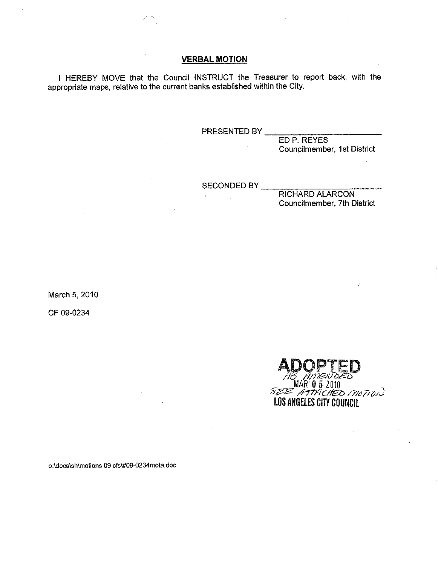# **VERBAL MOTION**

I HEREBY MOVE that the Council INSTRUCT the Treasurer to report back, with the appropriate maps, relative to the current banks established within the City.

PRESENTED BY \_

ED P. REYES Councilmember, 1st District

SECONDED BY

RICHARD ALARCON Councilmember, 7th District

March 5, 2010

CF 09-0234

 $\overline{a}$ ADOPTED MAR 0 5 2010 . *S?2? /hmCI7t.a> /J7o//i);)* LOS ANGELES CITY COUNCil

o:ldocslshlmotions 09 cfs\#09-0234mota.doc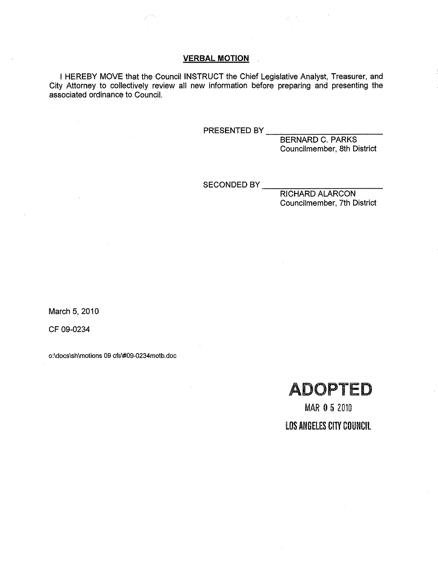# **VERBAL MOTION**

I HEREBY MOVE that the Council INSTRUCT the Chief Legislative Analyst, Treasurer, and City Attorney to collectively review all new information before preparing and presenting the associated ordinance to Council.

PRESENTED BY \_\_

BERNARD C. PARKS Councilmember, 8th District

SECONDED BY

RICHARD ALARCON Councilmember, 7th District

March 5, 2010

CF 09-0234

o:\docs\shlmotions 09 cfs\#09-0234motb.doc



MAR 052010 LOS ANGELES CITY COUNCIL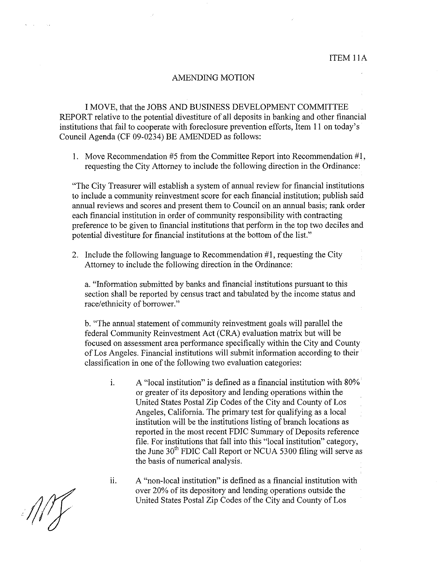#### AMENDING MOTION

I MOVE, that the JOBS AND BUSINESS DEVELOPMENT COMMITTEE REPORT relative to the potential divestiture of all deposits in banking and other financial institutions that fail to cooperate with foreclosure prevention efforts, Item 11 on today's Council Agenda (CF 09-0234) BE AMENDED as follows:

I. Move Recommendation #5 from the Committee Report into Recommendation #1, requesting the City Attorney to include the following direction in the Ordinance:

"The City Treasurer will establish a system of annual review for financial institutions to include a community reinvestment score for each financial institution; publish said annual reviews and scores and present them to Council on an annual basis; rank order each financial institution in order of community responsibility with contracting preference to be given to financial institutions that perform in the top two deciles and potential divestiture for financial institutions at the bottom of the list."

2. Include the following language to Recommendation #1, requesting the City Attorney to include the following direction in the Ordinance:

a. "Information submitted by banks and financial institutions pursuant to this section shall be reported by census tract and tabulated by the income status and race/ethnicity of borrower."

b. "The annual statement of community reinvestment goals will parallel the federal Community Reinvestment Act (CRA) evaluation matrix but will be focused on assessment area performance specifically within the City and County of Los Angeles. Financial institutions will submit information according to their classification in one of the following two evaluation categories:

i. A "local institution" is defined as a financial institution with 80%' or greater of its depository and lending operations within the United States Postal Zip Codes of the City and County of Los Angeles, California. The primary test for qualifying as a local institution will be the institutions listing of branch locations as reported in the most recent FDIC Summary of Deposits reference file. For institutions that fall into this "local institution" category, the June 30<sup>th</sup> FDIC Call Report or NCUA 5300 filing will serve as the basis of numerical analysis.

 $11.$  A "non-local institution" is defined as a financial institution with over 20% of its depository and lending operations outside the United States Postal Zip Codes of the City and County of Los